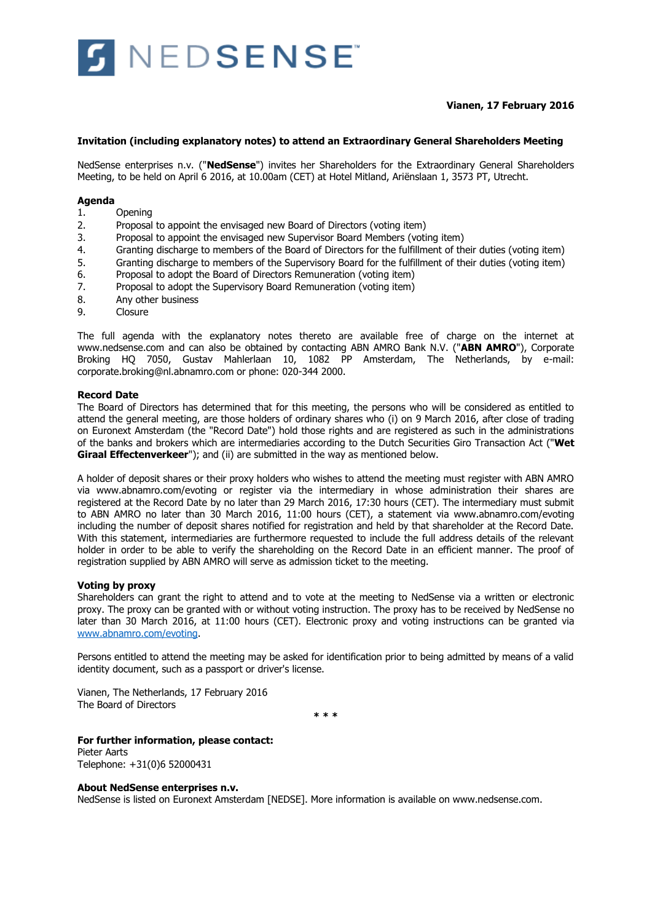

## **Vianen, 17 February 2016**

### **Invitation (including explanatory notes) to attend an Extraordinary General Shareholders Meeting**

NedSense enterprises n.v. ("**NedSense**") invites her Shareholders for the Extraordinary General Shareholders Meeting, to be held on April 6 2016, at 10.00am (CET) at Hotel Mitland, Ariënslaan 1, 3573 PT, Utrecht.

### **Agenda**

- 1. Opening
- 2. Proposal to appoint the envisaged new Board of Directors (voting item)
- 3. Proposal to appoint the envisaged new Supervisor Board Members (voting item)
- 4. Granting discharge to members of the Board of Directors for the fulfillment of their duties (voting item)
- 5. Granting discharge to members of the Supervisory Board for the fulfillment of their duties (voting item)<br>6. Proposal to adopt the Board of Directors Remuneration (voting item)
- Proposal to adopt the Board of Directors Remuneration (voting item)
- 7. Proposal to adopt the Supervisory Board Remuneration (voting item)
- 8. Any other business
- 9. Closure

The full agenda with the explanatory notes thereto are available free of charge on the internet at www.nedsense.com and can also be obtained by contacting ABN AMRO Bank N.V. ("**ABN AMRO**"), Corporate Broking HQ 7050, Gustav Mahlerlaan 10, 1082 PP Amsterdam, The Netherlands, by e-mail: corporate.broking@nl.abnamro.com or phone: 020-344 2000.

### **Record Date**

The Board of Directors has determined that for this meeting, the persons who will be considered as entitled to attend the general meeting, are those holders of ordinary shares who (i) on 9 March 2016, after close of trading on Euronext Amsterdam (the "Record Date") hold those rights and are registered as such in the administrations of the banks and brokers which are intermediaries according to the Dutch Securities Giro Transaction Act ("**Wet Giraal Effectenverkeer**"); and (ii) are submitted in the way as mentioned below.

A holder of deposit shares or their proxy holders who wishes to attend the meeting must register with ABN AMRO via www.abnamro.com/evoting or register via the intermediary in whose administration their shares are registered at the Record Date by no later than 29 March 2016, 17:30 hours (CET). The intermediary must submit to ABN AMRO no later than 30 March 2016, 11:00 hours (CET), a statement via www.abnamro.com/evoting including the number of deposit shares notified for registration and held by that shareholder at the Record Date. With this statement, intermediaries are furthermore requested to include the full address details of the relevant holder in order to be able to verify the shareholding on the Record Date in an efficient manner. The proof of registration supplied by ABN AMRO will serve as admission ticket to the meeting.

#### **Voting by proxy**

Shareholders can grant the right to attend and to vote at the meeting to NedSense via a written or electronic proxy. The proxy can be granted with or without voting instruction. The proxy has to be received by NedSense no later than 30 March 2016, at 11:00 hours (CET). Electronic proxy and voting instructions can be granted via [www.abnamro.com/evoting.](http://www.abnamro.com/evoting)

Persons entitled to attend the meeting may be asked for identification prior to being admitted by means of a valid identity document, such as a passport or driver's license.

Vianen, The Netherlands, 17 February 2016 The Board of Directors

**\* \* \***

#### **For further information, please contact:** Pieter Aarts

Telephone: +31(0)6 52000431

#### **About NedSense enterprises n.v.**

NedSense is listed on Euronext Amsterdam [NEDSE]. More information is available on www.nedsense.com.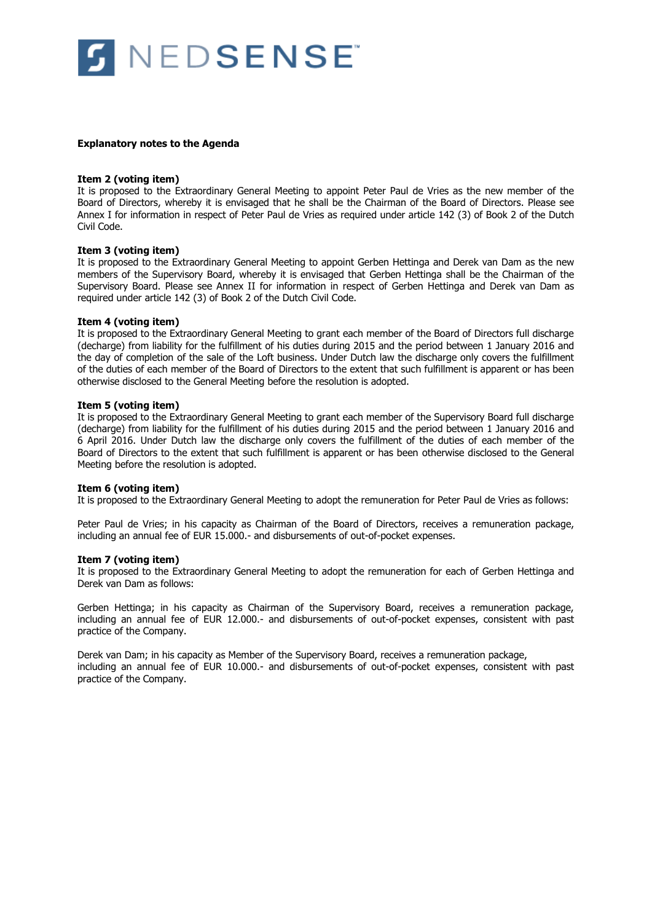

#### **Explanatory notes to the Agenda**

#### **Item 2 (voting item)**

It is proposed to the Extraordinary General Meeting to appoint Peter Paul de Vries as the new member of the Board of Directors, whereby it is envisaged that he shall be the Chairman of the Board of Directors. Please see Annex I for information in respect of Peter Paul de Vries as required under article 142 (3) of Book 2 of the Dutch Civil Code.

### **Item 3 (voting item)**

It is proposed to the Extraordinary General Meeting to appoint Gerben Hettinga and Derek van Dam as the new members of the Supervisory Board, whereby it is envisaged that Gerben Hettinga shall be the Chairman of the Supervisory Board. Please see Annex II for information in respect of Gerben Hettinga and Derek van Dam as required under article 142 (3) of Book 2 of the Dutch Civil Code.

### **Item 4 (voting item)**

It is proposed to the Extraordinary General Meeting to grant each member of the Board of Directors full discharge (decharge) from liability for the fulfillment of his duties during 2015 and the period between 1 January 2016 and the day of completion of the sale of the Loft business. Under Dutch law the discharge only covers the fulfillment of the duties of each member of the Board of Directors to the extent that such fulfillment is apparent or has been otherwise disclosed to the General Meeting before the resolution is adopted.

### **Item 5 (voting item)**

It is proposed to the Extraordinary General Meeting to grant each member of the Supervisory Board full discharge (decharge) from liability for the fulfillment of his duties during 2015 and the period between 1 January 2016 and 6 April 2016. Under Dutch law the discharge only covers the fulfillment of the duties of each member of the Board of Directors to the extent that such fulfillment is apparent or has been otherwise disclosed to the General Meeting before the resolution is adopted.

#### **Item 6 (voting item)**

It is proposed to the Extraordinary General Meeting to adopt the remuneration for Peter Paul de Vries as follows:

Peter Paul de Vries; in his capacity as Chairman of the Board of Directors, receives a remuneration package, including an annual fee of EUR 15.000.- and disbursements of out-of-pocket expenses.

#### **Item 7 (voting item)**

It is proposed to the Extraordinary General Meeting to adopt the remuneration for each of Gerben Hettinga and Derek van Dam as follows:

Gerben Hettinga; in his capacity as Chairman of the Supervisory Board, receives a remuneration package, including an annual fee of EUR 12.000.- and disbursements of out-of-pocket expenses, consistent with past practice of the Company.

Derek van Dam; in his capacity as Member of the Supervisory Board, receives a remuneration package, including an annual fee of EUR 10.000.- and disbursements of out-of-pocket expenses, consistent with past practice of the Company.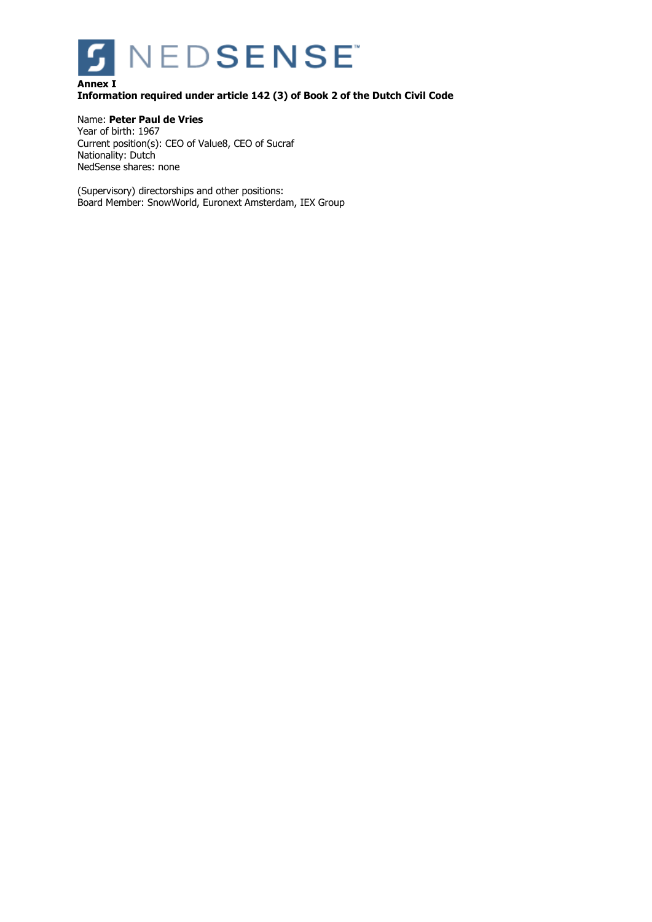

## **Annex I Information required under article 142 (3) of Book 2 of the Dutch Civil Code**

### Name: **Peter Paul de Vries**

Year of birth: 1967 Current position(s): CEO of Value8, CEO of Sucraf Nationality: Dutch NedSense shares: none

(Supervisory) directorships and other positions: Board Member: SnowWorld, Euronext Amsterdam, IEX Group